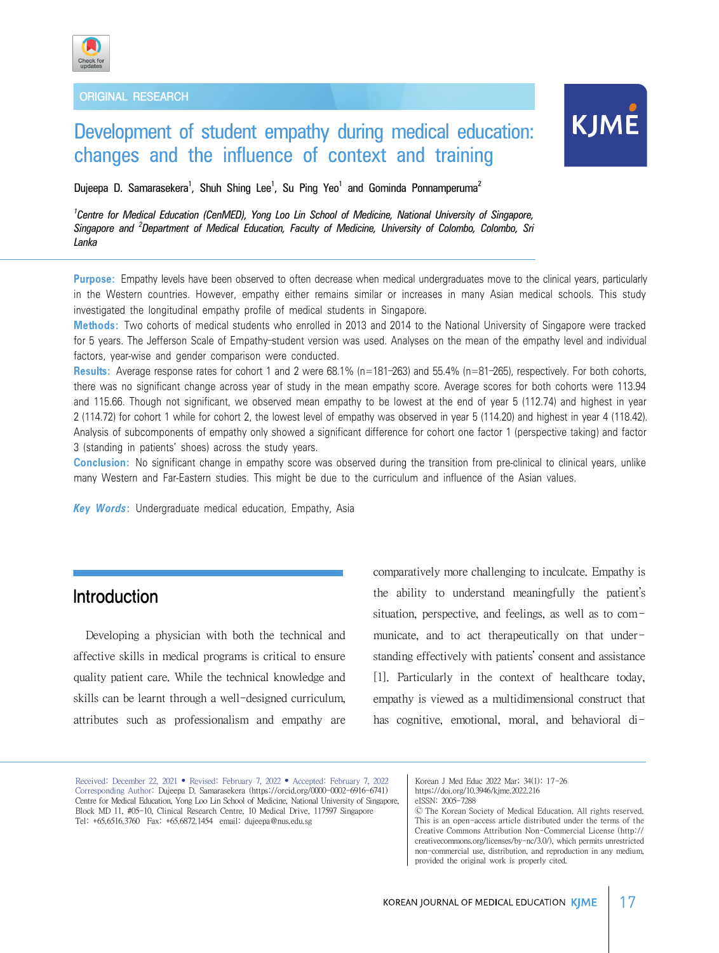

ORIGINAL RESEARCH

# Development of student empathy during medical education: changes and the influence of context and training

KJME

Dujeepa D. Samarasekera<sup>1</sup>, Shuh Shing Lee<sup>1</sup>, Su Ping Yeo<sup>1</sup> and Gominda Ponnamperuma<sup>2</sup>

*1 Centre for Medical Education (CenMED), Yong Loo Lin School of Medicine, National University of Singapore, Singapore and <sup>2</sup> Department of Medical Education, Faculty of Medicine, University of Colombo, Colombo, Sri Lanka*

**Purpose:** Empathy levels have been observed to often decrease when medical undergraduates move to the clinical years, particularly in the Western countries. However, empathy either remains similar or increases in many Asian medical schools. This study investigated the longitudinal empathy profile of medical students in Singapore.

**Methods:** Two cohorts of medical students who enrolled in 2013 and 2014 to the National University of Singapore were tracked for 5 years. The Jefferson Scale of Empathy–student version was used. Analyses on the mean of the empathy level and individual factors, year-wise and gender comparison were conducted.

**Results:** Average response rates for cohort 1 and 2 were 68.1% (n=181–263) and 55.4% (n=81–265), respectively. For both cohorts, there was no significant change across year of study in the mean empathy score. Average scores for both cohorts were 113.94 and 115.66. Though not significant, we observed mean empathy to be lowest at the end of year 5 (112.74) and highest in year 2 (114.72) for cohort 1 while for cohort 2, the lowest level of empathy was observed in year 5 (114.20) and highest in year 4 (118.42). Analysis of subcomponents of empathy only showed a significant difference for cohort one factor 1 (perspective taking) and factor 3 (standing in patients' shoes) across the study years.

**Conclusion:** No significant change in empathy score was observed during the transition from pre-clinical to clinical years, unlike many Western and Far-Eastern studies. This might be due to the curriculum and influence of the Asian values.

*Key Words***:** Undergraduate medical education, Empathy, Asia

## Introduction

Developing a physician with both the technical and affective skills in medical programs is critical to ensure quality patient care. While the technical knowledge and skills can be learnt through a well-designed curriculum, attributes such as professionalism and empathy are comparatively more challenging to inculcate. Empathy is the ability to understand meaningfully the patient's situation, perspective, and feelings, as well as to communicate, and to act therapeutically on that understanding effectively with patients' consent and assistance [1]. Particularly in the context of healthcare today, empathy is viewed as a multidimensional construct that has cognitive, emotional, moral, and behavioral di-

Received: December 22, 2021 • Revised: February 7, 2022 • Accepted: February 7, 2022 Corresponding Author: Dujeepa D. Samarasekera (https://orcid.org/0000-0002-6916-6741) Centre for Medical Education, Yong Loo Lin School of Medicine, National University of Singapore, Block MD 11, #05-10, Clinical Research Centre, 10 Medical Drive, 117597 Singapore Tel: +65.6516.3760 Fax: +65.6872.1454 email: dujeepa@nus.edu.sg

Korean J Med Educ 2022 Mar; 34(1): 17-26 https://doi.org/10.3946/kjme.2022.216 eISSN: 2005-7288

Ⓒ The Korean Society of Medical Education. All rights reserved. This is an open-access article distributed under the terms of the Creative Commons Attribution Non-Commercial License (http:// creativecommons.org/licenses/by-nc/3.0/), which permits unrestricted non-commercial use, distribution, and reproduction in any medium, provided the original work is properly cited.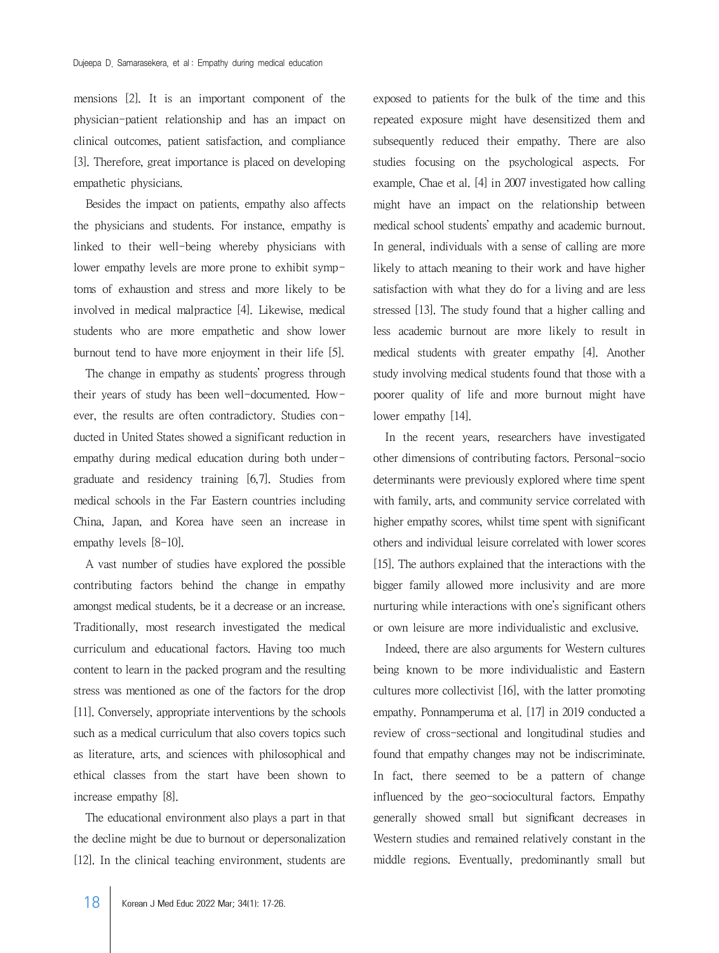mensions [2]. It is an important component of the physician-patient relationship and has an impact on clinical outcomes, patient satisfaction, and compliance [3]. Therefore, great importance is placed on developing empathetic physicians.

Besides the impact on patients, empathy also affects the physicians and students. For instance, empathy is linked to their well-being whereby physicians with lower empathy levels are more prone to exhibit symptoms of exhaustion and stress and more likely to be involved in medical malpractice [4]. Likewise, medical students who are more empathetic and show lower burnout tend to have more enjoyment in their life [5].

The change in empathy as students' progress through their years of study has been well-documented. However, the results are often contradictory. Studies conducted in United States showed a significant reduction in empathy during medical education during both undergraduate and residency training [6,7]. Studies from medical schools in the Far Eastern countries including China, Japan, and Korea have seen an increase in empathy levels [8-10].

A vast number of studies have explored the possible contributing factors behind the change in empathy amongst medical students, be it a decrease or an increase. Traditionally, most research investigated the medical curriculum and educational factors. Having too much content to learn in the packed program and the resulting stress was mentioned as one of the factors for the drop [11]. Conversely, appropriate interventions by the schools such as a medical curriculum that also covers topics such as literature, arts, and sciences with philosophical and ethical classes from the start have been shown to increase empathy [8].

The educational environment also plays a part in that the decline might be due to burnout or depersonalization [12]. In the clinical teaching environment, students are

exposed to patients for the bulk of the time and this repeated exposure might have desensitized them and subsequently reduced their empathy. There are also studies focusing on the psychological aspects. For example, Chae et al. [4] in 2007 investigated how calling might have an impact on the relationship between medical school students' empathy and academic burnout. In general, individuals with a sense of calling are more likely to attach meaning to their work and have higher satisfaction with what they do for a living and are less stressed [13]. The study found that a higher calling and less academic burnout are more likely to result in medical students with greater empathy [4]. Another study involving medical students found that those with a poorer quality of life and more burnout might have lower empathy [14].

In the recent years, researchers have investigated other dimensions of contributing factors. Personal-socio determinants were previously explored where time spent with family, arts, and community service correlated with higher empathy scores, whilst time spent with significant others and individual leisure correlated with lower scores [15]. The authors explained that the interactions with the bigger family allowed more inclusivity and are more nurturing while interactions with one's significant others or own leisure are more individualistic and exclusive.

Indeed, there are also arguments for Western cultures being known to be more individualistic and Eastern cultures more collectivist [16], with the latter promoting empathy. Ponnamperuma et al. [17] in 2019 conducted a review of cross-sectional and longitudinal studies and found that empathy changes may not be indiscriminate. In fact, there seemed to be a pattern of change influenced by the geo-sociocultural factors. Empathy generally showed small but significant decreases in Western studies and remained relatively constant in the middle regions. Eventually, predominantly small but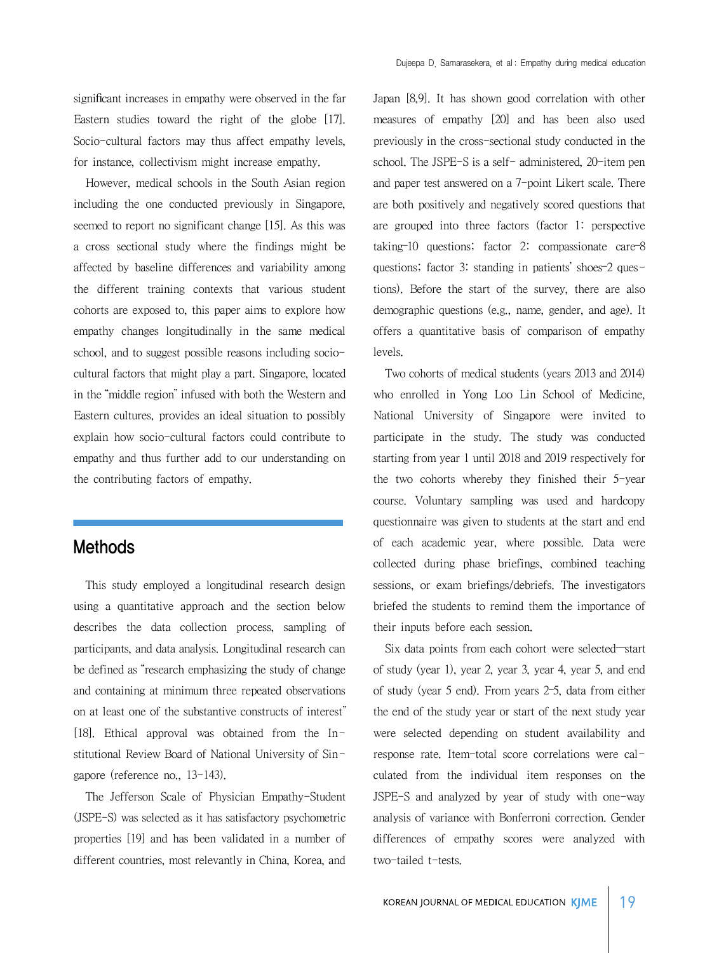However, medical schools in the South Asian region including the one conducted previously in Singapore, seemed to report no significant change [15]. As this was a cross sectional study where the findings might be affected by baseline differences and variability among the different training contexts that various student cohorts are exposed to, this paper aims to explore how empathy changes longitudinally in the same medical school, and to suggest possible reasons including sociocultural factors that might play a part. Singapore, located in the "middle region" infused with both the Western and Eastern cultures, provides an ideal situation to possibly explain how socio-cultural factors could contribute to empathy and thus further add to our understanding on the contributing factors of empathy.

### Methods

This study employed a longitudinal research design using a quantitative approach and the section below describes the data collection process, sampling of participants, and data analysis. Longitudinal research can be defined as "research emphasizing the study of change and containing at minimum three repeated observations on at least one of the substantive constructs of interest" [18]. Ethical approval was obtained from the Institutional Review Board of National University of Singapore (reference no., 13-143).

The Jefferson Scale of Physician Empathy-Student (JSPE-S) was selected as it has satisfactory psychometric properties [19] and has been validated in a number of different countries, most relevantly in China, Korea, and Japan [8,9]. It has shown good correlation with other measures of empathy [20] and has been also used previously in the cross-sectional study conducted in the school. The JSPE-S is a self- administered, 20-item pen and paper test answered on a 7-point Likert scale. There are both positively and negatively scored questions that are grouped into three factors (factor 1: perspective taking–10 questions; factor 2: compassionate care–8 questions; factor 3: standing in patients' shoes–2 questions). Before the start of the survey, there are also demographic questions (e.g., name, gender, and age). It offers a quantitative basis of comparison of empathy levels.

Two cohorts of medical students (years 2013 and 2014) who enrolled in Yong Loo Lin School of Medicine, National University of Singapore were invited to participate in the study. The study was conducted starting from year 1 until 2018 and 2019 respectively for the two cohorts whereby they finished their 5-year course. Voluntary sampling was used and hardcopy questionnaire was given to students at the start and end of each academic year, where possible. Data were collected during phase briefings, combined teaching sessions, or exam briefings/debriefs. The investigators briefed the students to remind them the importance of their inputs before each session.

Six data points from each cohort were selected—start of study (year 1), year 2, year 3, year 4, year 5, and end of study (year 5 end). From years 2–5, data from either the end of the study year or start of the next study year were selected depending on student availability and response rate. Item-total score correlations were calculated from the individual item responses on the JSPE-S and analyzed by year of study with one-way analysis of variance with Bonferroni correction. Gender differences of empathy scores were analyzed with two-tailed t-tests.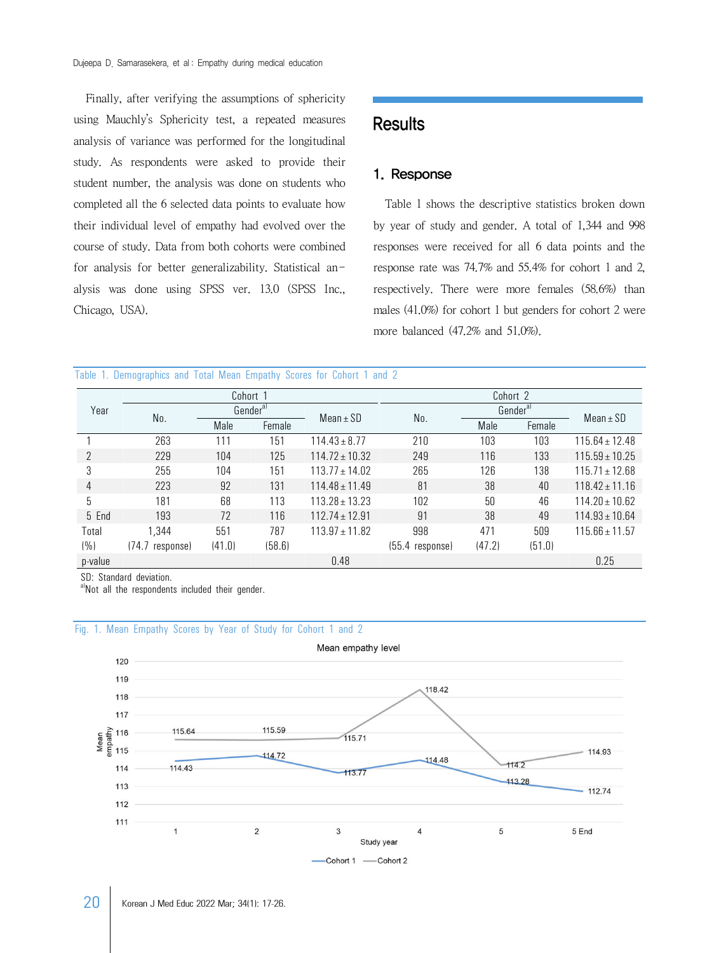Finally, after verifying the assumptions of sphericity using Mauchly's Sphericity test, a repeated measures analysis of variance was performed for the longitudinal study. As respondents were asked to provide their student number, the analysis was done on students who completed all the 6 selected data points to evaluate how their individual level of empathy had evolved over the course of study. Data from both cohorts were combined for analysis for better generalizability. Statistical analysis was done using SPSS ver. 13.0 (SPSS Inc., Chicago, USA).

## **Results**

#### 1. Response

Table 1 shows the descriptive statistics broken down by year of study and gender. A total of 1,344 and 998 responses were received for all 6 data points and the response rate was 74.7% and 55.4% for cohort 1 and 2, respectively. There were more females (58.6%) than males (41.0%) for cohort 1 but genders for cohort 2 were more balanced (47.2% and 51.0%).

|  | Table 1. Demographics and Total Mean Empathy Scores for Cohort 1 and 2 |  |  |  |  |  |  |  |  |  |
|--|------------------------------------------------------------------------|--|--|--|--|--|--|--|--|--|
|--|------------------------------------------------------------------------|--|--|--|--|--|--|--|--|--|

|                |                    |                      | Cohort 1 |                    | Cohort 2        |                      |        |                    |
|----------------|--------------------|----------------------|----------|--------------------|-----------------|----------------------|--------|--------------------|
| Year           | No.                | Gender <sup>a)</sup> |          | Mean $\pm$ SD      | No.             | Gender <sup>a)</sup> |        |                    |
|                |                    | Male                 | Female   |                    |                 | Male                 | Female | $Mean \pm SD$      |
|                | 263                | 111                  | 151      | $114.43 \pm 8.77$  | 210             | 103                  | 103    | $115.64 \pm 12.48$ |
| $\overline{2}$ | 229                | 104                  | 125      | $114.72 \pm 10.32$ | 249             | 116                  | 133    | $115.59 \pm 10.25$ |
| 3              | 255                | 104                  | 151      | $113.77 \pm 14.02$ | 265             | 126                  | 138    | $115.71 \pm 12.68$ |
| 4              | 223                | 92                   | 131      | $114.48 \pm 11.49$ | 81              | 38                   | 40     | $118.42 \pm 11.16$ |
| 5              | 181                | 68                   | 113      | $113.28 \pm 13.23$ | 102             | 50                   | 46     | $114.20 \pm 10.62$ |
| 5 End          | 193                | 72                   | 116      | $112.74 \pm 12.91$ | 91              | 38                   | 49     | $114.93 \pm 10.64$ |
| Total          | 1,344              | 551                  | 787      | $113.97 \pm 11.82$ | 998             | 471                  | 509    | $115.66 \pm 11.57$ |
| $($ % $)$      | (74.7<br>response) | (41.0)               | (58.6)   |                    | (55.4 response) | (47.2)               | (51.0) |                    |
| p-value        |                    |                      |          | 0.48               |                 |                      |        | 0.25               |

SD: Standard deviation.

a)Not all the respondents included their gender.



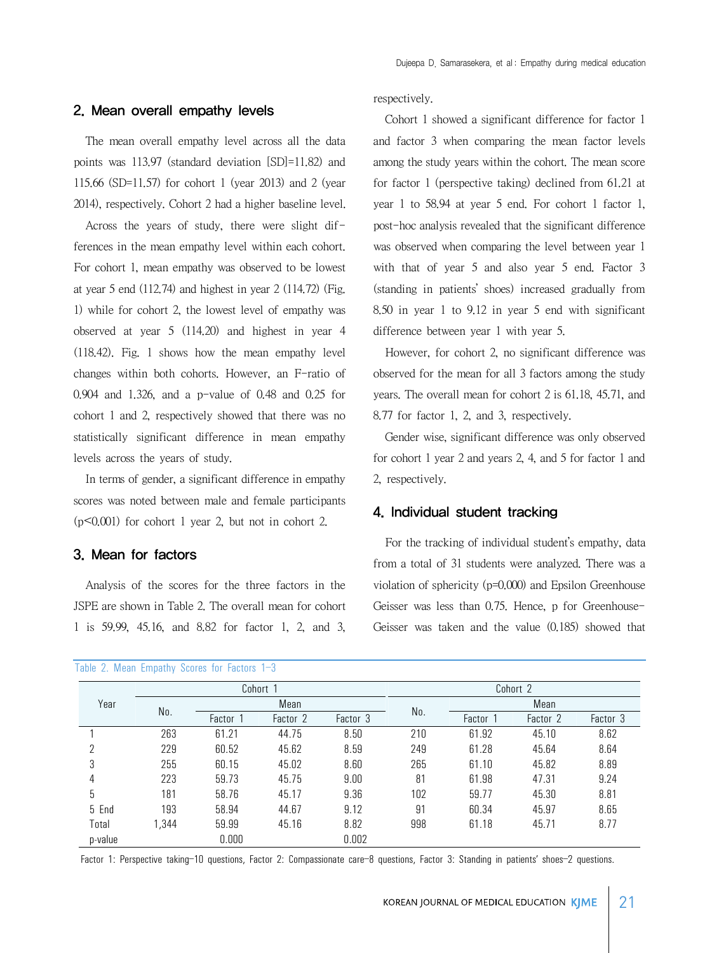#### 2. Mean overall empathy levels

The mean overall empathy level across all the data points was 113.97 (standard deviation [SD]=11.82) and 115.66 (SD=11.57) for cohort 1 (year 2013) and 2 (year 2014), respectively. Cohort 2 had a higher baseline level.

Across the years of study, there were slight differences in the mean empathy level within each cohort. For cohort 1, mean empathy was observed to be lowest at year 5 end (112.74) and highest in year 2 (114.72) (Fig. 1) while for cohort 2, the lowest level of empathy was observed at year 5 (114.20) and highest in year 4 (118.42). Fig. 1 shows how the mean empathy level changes within both cohorts. However, an F-ratio of 0.904 and 1.326, and a p-value of 0.48 and 0.25 for cohort 1 and 2, respectively showed that there was no statistically significant difference in mean empathy levels across the years of study.

In terms of gender, a significant difference in empathy scores was noted between male and female participants  $(p<0.001)$  for cohort 1 year 2, but not in cohort 2.

#### 3. Mean for factors

Analysis of the scores for the three factors in the JSPE are shown in Table 2. The overall mean for cohort 1 is 59.99, 45.16, and 8.82 for factor 1, 2, and 3,

|  |  |  | Table 2. Mean Empathy Scores for Factors 1-3 |  |  |  |  |
|--|--|--|----------------------------------------------|--|--|--|--|
|--|--|--|----------------------------------------------|--|--|--|--|

respectively.

Cohort 1 showed a significant difference for factor 1 and factor 3 when comparing the mean factor levels among the study years within the cohort. The mean score for factor 1 (perspective taking) declined from 61.21 at year 1 to 58.94 at year 5 end. For cohort 1 factor 1, post-hoc analysis revealed that the significant difference was observed when comparing the level between year 1 with that of year 5 and also year 5 end. Factor 3 (standing in patients' shoes) increased gradually from 8.50 in year 1 to 9.12 in year 5 end with significant difference between year 1 with year 5.

However, for cohort 2, no significant difference was observed for the mean for all 3 factors among the study years. The overall mean for cohort 2 is 61.18, 45.71, and 8.77 for factor 1, 2, and 3, respectively.

Gender wise, significant difference was only observed for cohort 1 year 2 and years 2, 4, and 5 for factor 1 and 2, respectively.

#### 4. Individual student tracking

For the tracking of individual student's empathy, data from a total of 31 students were analyzed. There was a violation of sphericity (p=0.000) and Epsilon Greenhouse Geisser was less than 0.75. Hence, p for Greenhouse-Geisser was taken and the value (0.185) showed that

|         | Cohort 1 |          |          |          | Cohort 2 |          |          |          |  |
|---------|----------|----------|----------|----------|----------|----------|----------|----------|--|
| Year    | No.      | Mean     |          |          |          | Mean     |          |          |  |
|         |          | Factor 1 | Factor 2 | Factor 3 | No.      | Factor 1 | Factor 2 | Factor 3 |  |
|         | 263      | 61.21    | 44.75    | 8.50     | 210      | 61.92    | 45.10    | 8.62     |  |
| ヮ       | 229      | 60.52    | 45.62    | 8.59     | 249      | 61.28    | 45.64    | 8.64     |  |
| 3       | 255      | 60.15    | 45.02    | 8.60     | 265      | 61.10    | 45.82    | 8.89     |  |
| 4       | 223      | 59.73    | 45.75    | 9.00     | 81       | 61.98    | 47.31    | 9.24     |  |
| 5       | 181      | 58.76    | 45.17    | 9.36     | 102      | 59.77    | 45.30    | 8.81     |  |
| 5 End   | 193      | 58.94    | 44.67    | 9.12     | 91       | 60.34    | 45.97    | 8.65     |  |
| Total   | 1,344    | 59.99    | 45.16    | 8.82     | 998      | 61.18    | 45.71    | 8.77     |  |
| p-value |          | 0.000    |          | 0.002    |          |          |          |          |  |

Factor 1: Perspective taking–10 questions, Factor 2: Compassionate care–8 questions, Factor 3: Standing in patients' shoes–2 questions.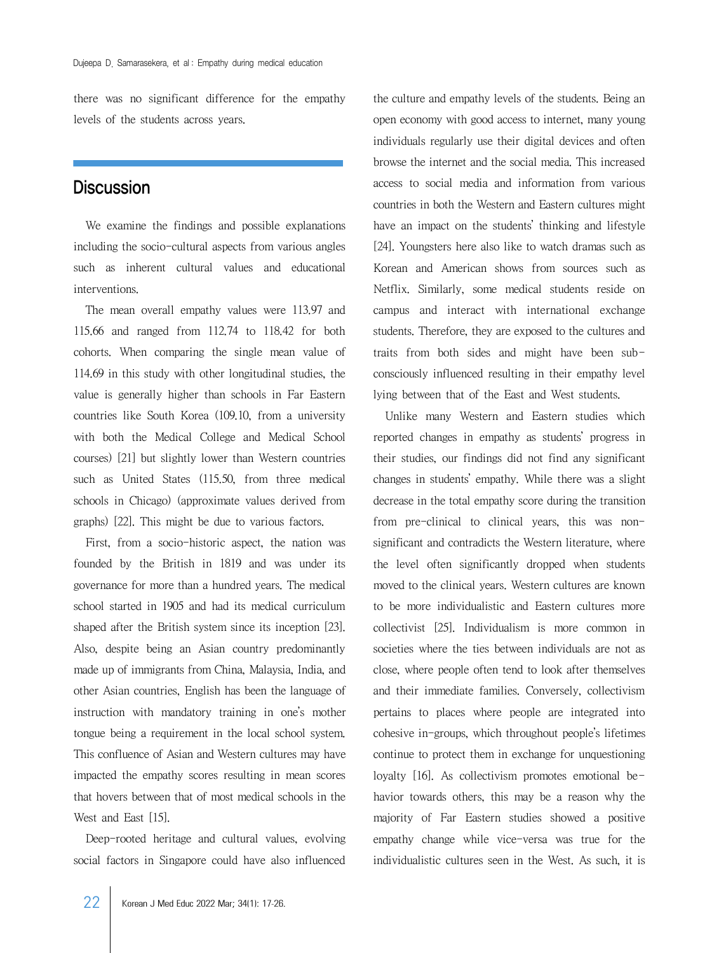there was no significant difference for the empathy levels of the students across years.

### **Discussion**

We examine the findings and possible explanations including the socio-cultural aspects from various angles such as inherent cultural values and educational interventions.

The mean overall empathy values were 113.97 and 115.66 and ranged from 112.74 to 118.42 for both cohorts. When comparing the single mean value of 114.69 in this study with other longitudinal studies, the value is generally higher than schools in Far Eastern countries like South Korea (109.10, from a university with both the Medical College and Medical School courses) [21] but slightly lower than Western countries such as United States (115.50, from three medical schools in Chicago) (approximate values derived from graphs) [22]. This might be due to various factors.

First, from a socio-historic aspect, the nation was founded by the British in 1819 and was under its governance for more than a hundred years. The medical school started in 1905 and had its medical curriculum shaped after the British system since its inception [23]. Also, despite being an Asian country predominantly made up of immigrants from China, Malaysia, India, and other Asian countries, English has been the language of instruction with mandatory training in one's mother tongue being a requirement in the local school system. This confluence of Asian and Western cultures may have impacted the empathy scores resulting in mean scores that hovers between that of most medical schools in the West and East [15].

Deep-rooted heritage and cultural values, evolving social factors in Singapore could have also influenced

the culture and empathy levels of the students. Being an open economy with good access to internet, many young individuals regularly use their digital devices and often browse the internet and the social media. This increased access to social media and information from various countries in both the Western and Eastern cultures might have an impact on the students' thinking and lifestyle [24]. Youngsters here also like to watch dramas such as Korean and American shows from sources such as Netflix. Similarly, some medical students reside on campus and interact with international exchange students. Therefore, they are exposed to the cultures and traits from both sides and might have been subconsciously influenced resulting in their empathy level lying between that of the East and West students.

Unlike many Western and Eastern studies which reported changes in empathy as students' progress in their studies, our findings did not find any significant changes in students' empathy. While there was a slight decrease in the total empathy score during the transition from pre-clinical to clinical years, this was nonsignificant and contradicts the Western literature, where the level often significantly dropped when students moved to the clinical years. Western cultures are known to be more individualistic and Eastern cultures more collectivist [25]. Individualism is more common in societies where the ties between individuals are not as close, where people often tend to look after themselves and their immediate families. Conversely, collectivism pertains to places where people are integrated into cohesive in-groups, which throughout people's lifetimes continue to protect them in exchange for unquestioning loyalty [16]. As collectivism promotes emotional behavior towards others, this may be a reason why the majority of Far Eastern studies showed a positive empathy change while vice-versa was true for the individualistic cultures seen in the West. As such, it is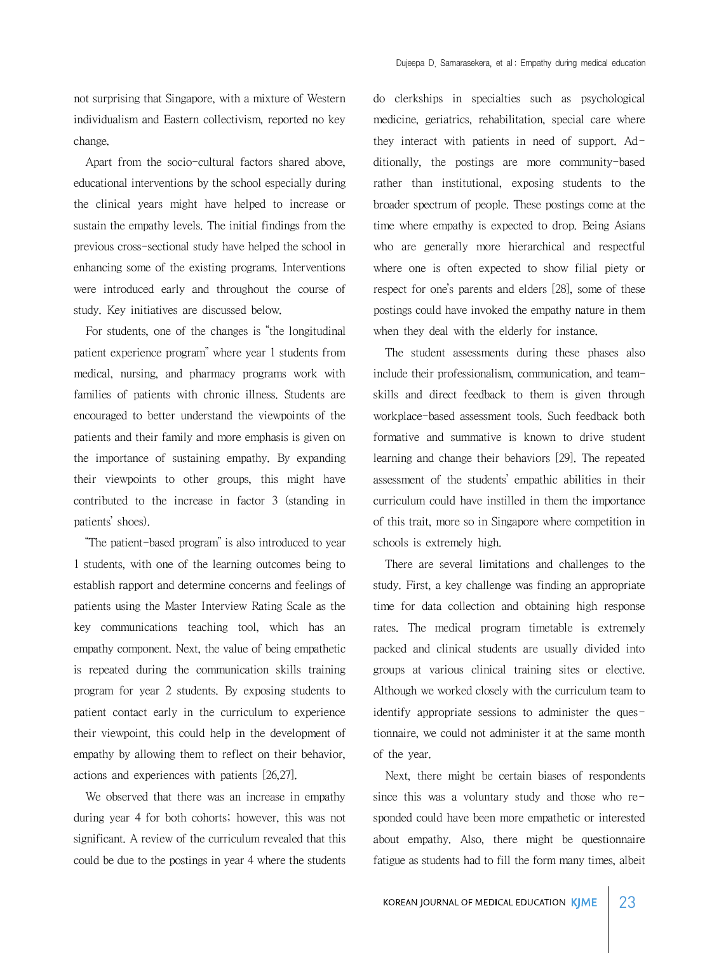not surprising that Singapore, with a mixture of Western individualism and Eastern collectivism, reported no key change.

Apart from the socio-cultural factors shared above, educational interventions by the school especially during the clinical years might have helped to increase or sustain the empathy levels. The initial findings from the previous cross-sectional study have helped the school in enhancing some of the existing programs. Interventions were introduced early and throughout the course of study. Key initiatives are discussed below.

For students, one of the changes is "the longitudinal patient experience program" where year 1 students from medical, nursing, and pharmacy programs work with families of patients with chronic illness. Students are encouraged to better understand the viewpoints of the patients and their family and more emphasis is given on the importance of sustaining empathy. By expanding their viewpoints to other groups, this might have contributed to the increase in factor 3 (standing in patients' shoes).

"The patient-based program" is also introduced to year 1 students, with one of the learning outcomes being to establish rapport and determine concerns and feelings of patients using the Master Interview Rating Scale as the key communications teaching tool, which has an empathy component. Next, the value of being empathetic is repeated during the communication skills training program for year 2 students. By exposing students to patient contact early in the curriculum to experience their viewpoint, this could help in the development of empathy by allowing them to reflect on their behavior, actions and experiences with patients [26,27].

We observed that there was an increase in empathy during year 4 for both cohorts; however, this was not significant. A review of the curriculum revealed that this could be due to the postings in year 4 where the students

do clerkships in specialties such as psychological medicine, geriatrics, rehabilitation, special care where they interact with patients in need of support. Additionally, the postings are more community-based rather than institutional, exposing students to the broader spectrum of people. These postings come at the time where empathy is expected to drop. Being Asians who are generally more hierarchical and respectful where one is often expected to show filial piety or respect for one's parents and elders [28], some of these postings could have invoked the empathy nature in them when they deal with the elderly for instance.

The student assessments during these phases also include their professionalism, communication, and teamskills and direct feedback to them is given through workplace-based assessment tools. Such feedback both formative and summative is known to drive student learning and change their behaviors [29]. The repeated assessment of the students' empathic abilities in their curriculum could have instilled in them the importance of this trait, more so in Singapore where competition in schools is extremely high.

There are several limitations and challenges to the study. First, a key challenge was finding an appropriate time for data collection and obtaining high response rates. The medical program timetable is extremely packed and clinical students are usually divided into groups at various clinical training sites or elective. Although we worked closely with the curriculum team to identify appropriate sessions to administer the questionnaire, we could not administer it at the same month of the year.

Next, there might be certain biases of respondents since this was a voluntary study and those who responded could have been more empathetic or interested about empathy. Also, there might be questionnaire fatigue as students had to fill the form many times, albeit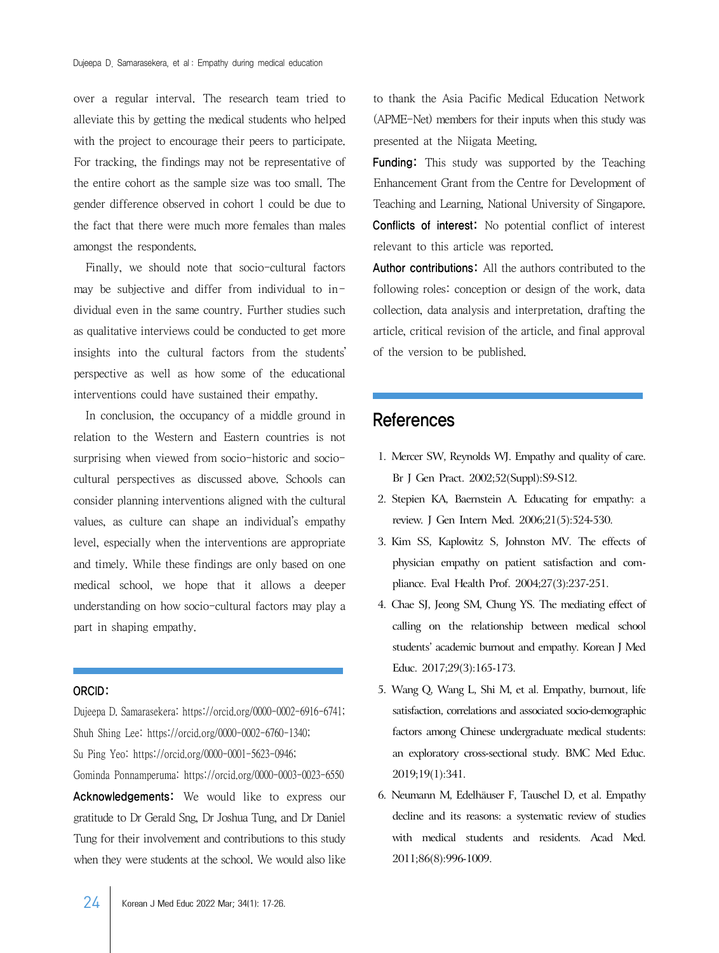over a regular interval. The research team tried to alleviate this by getting the medical students who helped with the project to encourage their peers to participate. For tracking, the findings may not be representative of the entire cohort as the sample size was too small. The gender difference observed in cohort 1 could be due to the fact that there were much more females than males amongst the respondents.

Finally, we should note that socio-cultural factors may be subjective and differ from individual to individual even in the same country. Further studies such as qualitative interviews could be conducted to get more insights into the cultural factors from the students' perspective as well as how some of the educational interventions could have sustained their empathy.

In conclusion, the occupancy of a middle ground in relation to the Western and Eastern countries is not surprising when viewed from socio-historic and sociocultural perspectives as discussed above. Schools can consider planning interventions aligned with the cultural values, as culture can shape an individual's empathy level, especially when the interventions are appropriate and timely. While these findings are only based on one medical school, we hope that it allows a deeper understanding on how socio-cultural factors may play a part in shaping empathy.

#### ORCID:

Dujeepa D. Samarasekera: https://orcid.org/0000-0002-6916-6741; Shuh Shing Lee: https://orcid.org/0000-0002-6760-1340; Su Ping Yeo: https://orcid.org/0000-0001-5623-0946; Gominda Ponnamperuma: https://orcid.org/0000-0003-0023-6550 Acknowledgements: We would like to express our gratitude to Dr Gerald Sng, Dr Joshua Tung, and Dr Daniel Tung for their involvement and contributions to this study when they were students at the school. We would also like to thank the Asia Pacific Medical Education Network (APME-Net) members for their inputs when this study was presented at the Niigata Meeting.

Funding: This study was supported by the Teaching Enhancement Grant from the Centre for Development of Teaching and Learning, National University of Singapore. Conflicts of interest: No potential conflict of interest relevant to this article was reported.

Author contributions: All the authors contributed to the following roles: conception or design of the work, data collection, data analysis and interpretation, drafting the article, critical revision of the article, and final approval of the version to be published.

## References

- 1. Mercer SW, Reynolds WJ. Empathy and quality of care. Br J Gen Pract. 2002;52(Suppl):S9-S12.
- 2. Stepien KA, Baernstein A. Educating for empathy: a review. J Gen Intern Med. 2006;21(5):524-530.
- 3. Kim SS, Kaplowitz S, Johnston MV. The effects of physician empathy on patient satisfaction and compliance. Eval Health Prof. 2004;27(3):237-251.
- 4. Chae SJ, Jeong SM, Chung YS. The mediating effect of calling on the relationship between medical school students' academic burnout and empathy. Korean J Med Educ. 2017;29(3):165-173.
- 5. Wang Q, Wang L, Shi M, et al. Empathy, burnout, life satisfaction, correlations and associated socio-demographic factors among Chinese undergraduate medical students: an exploratory cross-sectional study. BMC Med Educ. 2019;19(1):341.
- 6. Neumann M, Edelhäuser F, Tauschel D, et al. Empathy decline and its reasons: a systematic review of studies with medical students and residents. Acad Med. 2011;86(8):996-1009.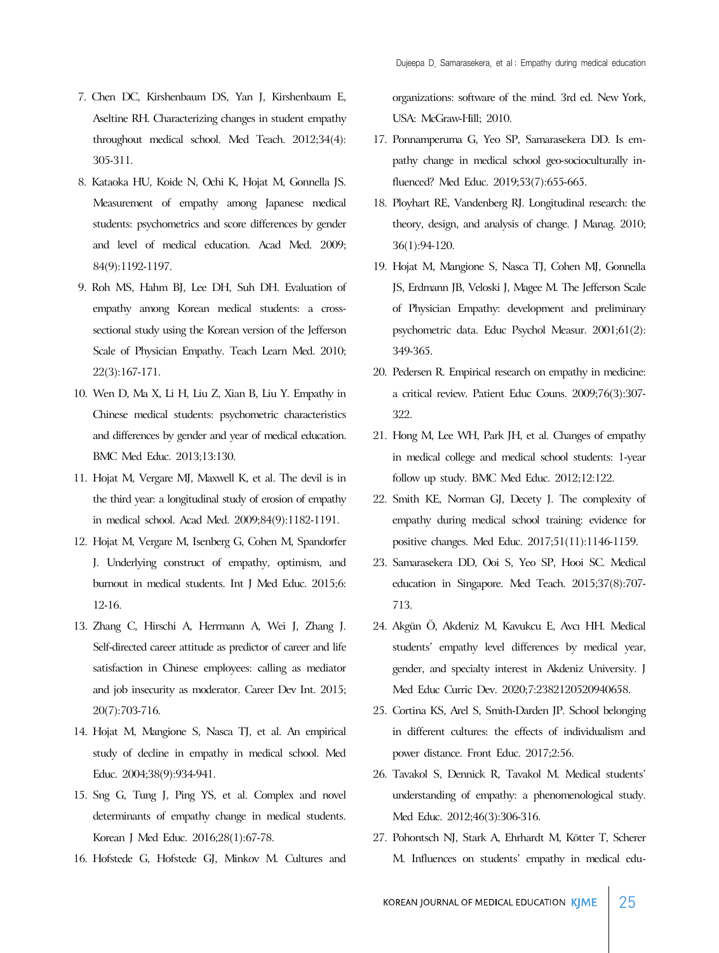- 7. Chen DC, Kirshenbaum DS, Yan J, Kirshenbaum E, Aseltine RH. Characterizing changes in student empathy throughout medical school. Med Teach. 2012;34(4): 305-311.
- 8. Kataoka HU, Koide N, Ochi K, Hojat M, Gonnella JS. Measurement of empathy among Japanese medical students: psychometrics and score differences by gender and level of medical education. Acad Med. 2009; 84(9):1192-1197.
- 9. Roh MS, Hahm BJ, Lee DH, Suh DH. Evaluation of empathy among Korean medical students: a crosssectional study using the Korean version of the Jefferson Scale of Physician Empathy. Teach Learn Med. 2010; 22(3):167-171.
- 10. Wen D, Ma X, Li H, Liu Z, Xian B, Liu Y. Empathy in Chinese medical students: psychometric characteristics and differences by gender and year of medical education. BMC Med Educ. 2013;13:130.
- 11. Hojat M, Vergare MJ, Maxwell K, et al. The devil is in the third year: a longitudinal study of erosion of empathy in medical school. Acad Med. 2009;84(9):1182-1191.
- 12. Hojat M, Vergare M, Isenberg G, Cohen M, Spandorfer J. Underlying construct of empathy, optimism, and burnout in medical students. Int J Med Educ. 2015;6: 12-16.
- 13. Zhang C, Hirschi A, Herrmann A, Wei J, Zhang J. Self-directed career attitude as predictor of career and life satisfaction in Chinese employees: calling as mediator and job insecurity as moderator. Career Dev Int. 2015; 20(7):703-716.
- 14. Hojat M, Mangione S, Nasca TJ, et al. An empirical study of decline in empathy in medical school. Med Educ. 2004;38(9):934-941.
- 15. Sng G, Tung J, Ping YS, et al. Complex and novel determinants of empathy change in medical students. Korean J Med Educ. 2016;28(1):67-78.
- 16. Hofstede G, Hofstede GJ, Minkov M. Cultures and

organizations: software of the mind. 3rd ed. New York, USA: McGraw-Hill; 2010.

- 17. Ponnamperuma G, Yeo SP, Samarasekera DD. Is empathy change in medical school geo-socioculturally influenced? Med Educ. 2019;53(7):655-665.
- 18. Ployhart RE, Vandenberg RJ. Longitudinal research: the theory, design, and analysis of change. J Manag. 2010; 36(1):94-120.
- 19. Hojat M, Mangione S, Nasca TJ, Cohen MJ, Gonnella JS, Erdmann JB, Veloski J, Magee M. The Jefferson Scale of Physician Empathy: development and preliminary psychometric data. Educ Psychol Measur. 2001;61(2): 349-365.
- 20. Pedersen R. Empirical research on empathy in medicine: a critical review. Patient Educ Couns. 2009;76(3):307- 322.
- 21. Hong M, Lee WH, Park JH, et al. Changes of empathy in medical college and medical school students: 1-year follow up study. BMC Med Educ. 2012;12:122.
- 22. Smith KE, Norman GJ, Decety J. The complexity of empathy during medical school training: evidence for positive changes. Med Educ. 2017;51(11):1146-1159.
- 23. Samarasekera DD, Ooi S, Yeo SP, Hooi SC. Medical education in Singapore. Med Teach. 2015;37(8):707- 713.
- 24. Akgün Ö, Akdeniz M, Kavukcu E, Avcı HH. Medical students' empathy level differences by medical year, gender, and specialty interest in Akdeniz University. J Med Educ Curric Dev. 2020;7:2382120520940658.
- 25. Cortina KS, Arel S, Smith-Darden JP. School belonging in different cultures: the effects of individualism and power distance. Front Educ. 2017;2:56.
- 26. Tavakol S, Dennick R, Tavakol M. Medical students' understanding of empathy: a phenomenological study. Med Educ. 2012;46(3):306-316.
- 27. Pohontsch NJ, Stark A, Ehrhardt M, Kötter T, Scherer M. Influences on students' empathy in medical edu-